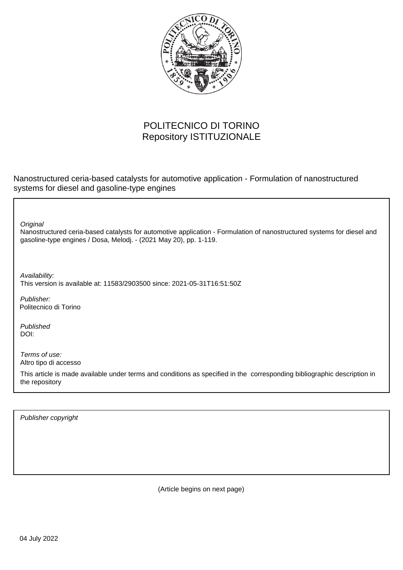

## POLITECNICO DI TORINO Repository ISTITUZIONALE

Nanostructured ceria-based catalysts for automotive application - Formulation of nanostructured systems for diesel and gasoline-type engines

**Original** 

Nanostructured ceria-based catalysts for automotive application - Formulation of nanostructured systems for diesel and gasoline-type engines / Dosa, Melodj. - (2021 May 20), pp. 1-119.

Availability: This version is available at: 11583/2903500 since: 2021-05-31T16:51:50Z

Publisher: Politecnico di Torino

Published DOI:

Terms of use: Altro tipo di accesso

This article is made available under terms and conditions as specified in the corresponding bibliographic description in the repository

Publisher copyright

(Article begins on next page)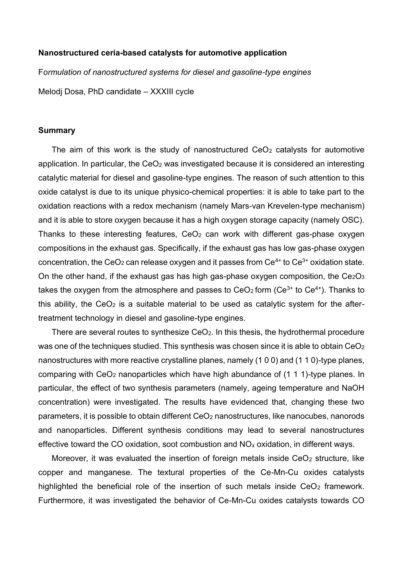## **Nanostructured ceria-based catalysts for automotive application**

F*ormulation of nanostructured systems for diesel and gasoline-type engines*

Melodj Dosa, PhD candidate – XXXIII cycle

## **Summary**

The aim of this work is the study of nanostructured  $CeO<sub>2</sub>$  catalysts for automotive application. In particular, the  $CeO<sub>2</sub>$  was investigated because it is considered an interesting catalytic material for diesel and gasoline-type engines. The reason of such attention to this oxide catalyst is due to its unique physico-chemical properties: it is able to take part to the oxidation reactions with a redox mechanism (namely Mars-van Krevelen-type mechanism) and it is able to store oxygen because it has a high oxygen storage capacity (namely OSC). Thanks to these interesting features,  $CeO<sub>2</sub>$  can work with different gas-phase oxygen compositions in the exhaust gas. Specifically, if the exhaust gas has low gas-phase oxygen concentration, the CeO<sub>2</sub> can release oxygen and it passes from  $Ce<sup>4+</sup>$  to  $Ce<sup>3+</sup>$  oxidation state. On the other hand, if the exhaust gas has high gas-phase oxygen composition, the  $Ce<sub>2</sub>O<sub>3</sub>$ takes the oxygen from the atmosphere and passes to  $CeO<sub>2</sub>$  form ( $Ce<sup>3+</sup>$  to  $Ce<sup>4+</sup>$ ). Thanks to this ability, the  $CeO<sub>2</sub>$  is a suitable material to be used as catalytic system for the aftertreatment technology in diesel and gasoline-type engines.

There are several routes to synthesize  $CeO<sub>2</sub>$ . In this thesis, the hydrothermal procedure was one of the techniques studied. This synthesis was chosen since it is able to obtain CeO<sub>2</sub> nanostructures with more reactive crystalline planes, namely (1 0 0) and (1 1 0)-type planes, comparing with CeO<sup>2</sup> nanoparticles which have high abundance of (1 1 1)-type planes. In particular, the effect of two synthesis parameters (namely, ageing temperature and NaOH concentration) were investigated. The results have evidenced that, changing these two parameters, it is possible to obtain different CeO<sub>2</sub> nanostructures, like nanocubes, nanorods and nanoparticles. Different synthesis conditions may lead to several nanostructures effective toward the CO oxidation, soot combustion and  $NO<sub>x</sub>$  oxidation, in different ways.

Moreover, it was evaluated the insertion of foreign metals inside  $CeO<sub>2</sub>$  structure, like copper and manganese. The textural properties of the Ce-Mn-Cu oxides catalysts highlighted the beneficial role of the insertion of such metals inside  $CeO<sub>2</sub>$  framework. Furthermore, it was investigated the behavior of Ce-Mn-Cu oxides catalysts towards CO